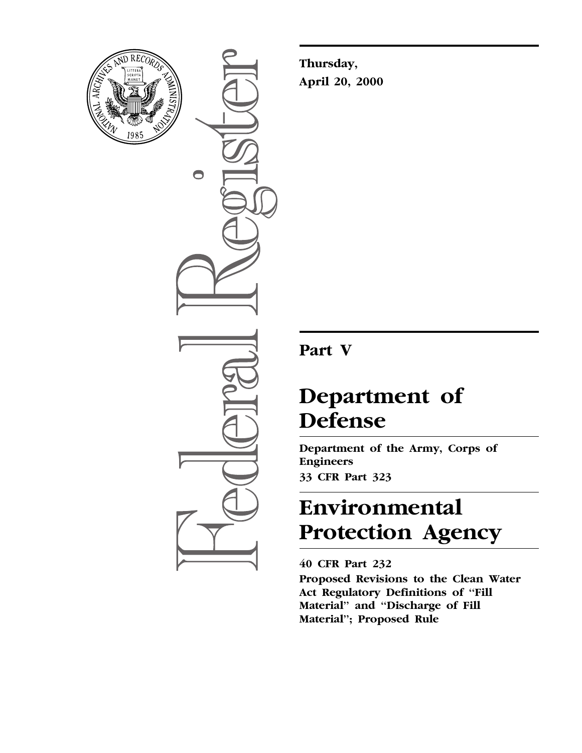

 $\bigcirc$ 

**Thursday, April 20, 2000**

# **Part V**

# **Department of Defense**

**Department of the Army, Corps of Engineers 33 CFR Part 323**

**Environmental Protection Agency**

**40 CFR Part 232 Proposed Revisions to the Clean Water Act Regulatory Definitions of ''Fill Material'' and ''Discharge of Fill Material''; Proposed Rule**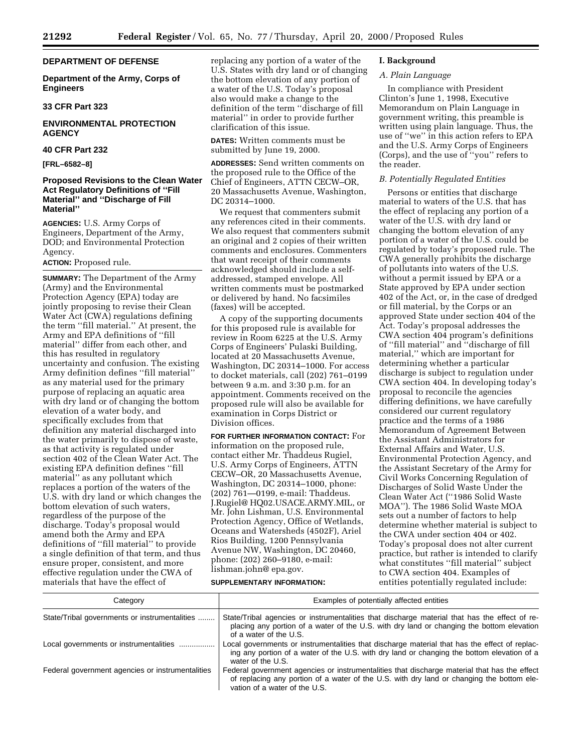# **DEPARTMENT OF DEFENSE**

**Department of the Army, Corps of Engineers**

#### **33 CFR Part 323**

# **ENVIRONMENTAL PROTECTION AGENCY**

# **40 CFR Part 232**

**[FRL–6582–8]**

# **Proposed Revisions to the Clean Water Act Regulatory Definitions of ''Fill Material'' and ''Discharge of Fill Material''**

**AGENCIES:** U.S. Army Corps of Engineers, Department of the Army, DOD; and Environmental Protection Agency.

# **ACTION:** Proposed rule.

**SUMMARY:** The Department of the Army (Army) and the Environmental Protection Agency (EPA) today are jointly proposing to revise their Clean Water Act (CWA) regulations defining the term ''fill material.'' At present, the Army and EPA definitions of ''fill material'' differ from each other, and this has resulted in regulatory uncertainty and confusion. The existing Army definition defines ''fill material'' as any material used for the primary purpose of replacing an aquatic area with dry land or of changing the bottom elevation of a water body, and specifically excludes from that definition any material discharged into the water primarily to dispose of waste, as that activity is regulated under section 402 of the Clean Water Act. The existing EPA definition defines ''fill material'' as any pollutant which replaces a portion of the waters of the U.S. with dry land or which changes the bottom elevation of such waters, regardless of the purpose of the discharge. Today's proposal would amend both the Army and EPA definitions of ''fill material'' to provide a single definition of that term, and thus ensure proper, consistent, and more effective regulation under the CWA of materials that have the effect of

replacing any portion of a water of the U.S. States with dry land or of changing the bottom elevation of any portion of a water of the U.S. Today's proposal also would make a change to the definition of the term ''discharge of fill material'' in order to provide further clarification of this issue.

**DATES:** Written comments must be submitted by June 19, 2000.

**ADDRESSES:** Send written comments on the proposed rule to the Office of the Chief of Engineers, ATTN CECW–OR, 20 Massachusetts Avenue, Washington, DC 20314–1000.

We request that commenters submit any references cited in their comments. We also request that commenters submit an original and 2 copies of their written comments and enclosures. Commenters that want receipt of their comments acknowledged should include a selfaddressed, stamped envelope. All written comments must be postmarked or delivered by hand. No facsimiles (faxes) will be accepted.

A copy of the supporting documents for this proposed rule is available for review in Room 6225 at the U.S. Army Corps of Engineers' Pulaski Building, located at 20 Massachusetts Avenue, Washington, DC 20314–1000. For access to docket materials, call (202) 761–0199 between 9 a.m. and 3:30 p.m. for an appointment. Comments received on the proposed rule will also be available for examination in Corps District or Division offices.

# **FOR FURTHER INFORMATION CONTACT:** For information on the proposed rule, contact either Mr. Thaddeus Rugiel, U.S. Army Corps of Engineers, ATTN CECW–OR, 20 Massachusetts Avenue, Washington, DC 20314–1000, phone: (202) 761—0199, e-mail: Thaddeus. J.Rugiel@ HQ02.USACE.ARMY.MIL, or Mr. John Lishman, U.S. Environmental Protection Agency, Office of Wetlands, Oceans and Watersheds (4502F), Ariel Rios Building, 1200 Pennsylvania Avenue NW, Washington, DC 20460, phone: (202) 260–9180, e-mail: lishman.john@ epa.gov.

# **I. Background**

# *A. Plain Language*

In compliance with President Clinton's June 1, 1998, Executive Memorandum on Plain Language in government writing, this preamble is written using plain language. Thus, the use of ''we'' in this action refers to EPA and the U.S. Army Corps of Engineers (Corps), and the use of ''you'' refers to the reader.

#### *B. Potentially Regulated Entities*

Persons or entities that discharge material to waters of the U.S. that has the effect of replacing any portion of a water of the U.S. with dry land or changing the bottom elevation of any portion of a water of the U.S. could be regulated by today's proposed rule. The CWA generally prohibits the discharge of pollutants into waters of the U.S. without a permit issued by EPA or a State approved by EPA under section 402 of the Act, or, in the case of dredged or fill material, by the Corps or an approved State under section 404 of the Act. Today's proposal addresses the CWA section 404 program's definitions of ''fill material'' and ''discharge of fill material,'' which are important for determining whether a particular discharge is subject to regulation under CWA section 404. In developing today's proposal to reconcile the agencies differing definitions, we have carefully considered our current regulatory practice and the terms of a 1986 Memorandum of Agreement Between the Assistant Administrators for External Affairs and Water, U.S. Environmental Protection Agency, and the Assistant Secretary of the Army for Civil Works Concerning Regulation of Discharges of Solid Waste Under the Clean Water Act (''1986 Solid Waste MOA''). The 1986 Solid Waste MOA sets out a number of factors to help determine whether material is subject to the CWA under section 404 or 402. Today's proposal does not alter current practice, but rather is intended to clarify what constitutes ''fill material'' subject to CWA section 404. Examples of entities potentially regulated include:

#### **SUPPLEMENTARY INFORMATION:**

| Category                                         | Examples of potentially affected entities                                                                                                                                                                                  |
|--------------------------------------------------|----------------------------------------------------------------------------------------------------------------------------------------------------------------------------------------------------------------------------|
| State/Tribal governments or instrumentalities    | State/Tribal agencies or instrumentalities that discharge material that has the effect of re-<br>placing any portion of a water of the U.S. with dry land or changing the bottom elevation<br>of a water of the U.S.       |
| Local governments or instrumentalities           | Local governments or instrumentalities that discharge material that has the effect of replac-<br>ing any portion of a water of the U.S. with dry land or changing the bottom elevation of a<br>water of the U.S.           |
| Federal government agencies or instrumentalities | Federal government agencies or instrumentalities that discharge material that has the effect<br>of replacing any portion of a water of the U.S. with dry land or changing the bottom ele-<br>vation of a water of the U.S. |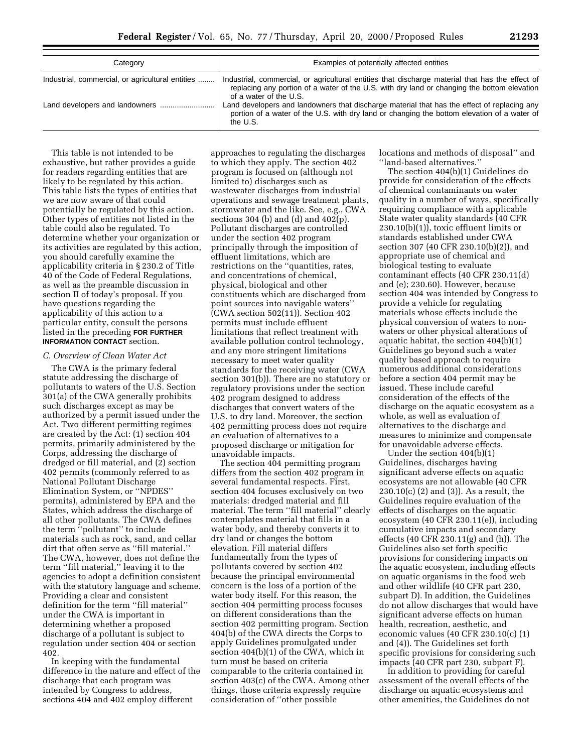| Category                                         | Examples of potentially affected entities                                                                                                                                                                                |
|--------------------------------------------------|--------------------------------------------------------------------------------------------------------------------------------------------------------------------------------------------------------------------------|
| Industrial, commercial, or agricultural entities | Industrial, commercial, or agricultural entities that discharge material that has the effect of<br>replacing any portion of a water of the U.S. with dry land or changing the bottom elevation<br>of a water of the U.S. |
|                                                  | Land developers and landowners that discharge material that has the effect of replacing any<br>portion of a water of the U.S. with dry land or changing the bottom elevation of a water of<br>the U.S.                   |

This table is not intended to be exhaustive, but rather provides a guide for readers regarding entities that are likely to be regulated by this action. This table lists the types of entities that we are now aware of that could potentially be regulated by this action. Other types of entities not listed in the table could also be regulated. To determine whether your organization or its activities are regulated by this action, you should carefully examine the applicability criteria in § 230.2 of Title 40 of the Code of Federal Regulations, as well as the preamble discussion in section II of today's proposal. If you have questions regarding the applicability of this action to a particular entity, consult the persons listed in the preceding **FOR FURTHER INFORMATION CONTACT** section.

#### *C. Overview of Clean Water Act*

The CWA is the primary federal statute addressing the discharge of pollutants to waters of the U.S. Section 301(a) of the CWA generally prohibits such discharges except as may be authorized by a permit issued under the Act. Two different permitting regimes are created by the Act: (1) section 404 permits, primarily administered by the Corps, addressing the discharge of dredged or fill material, and (2) section 402 permits (commonly referred to as National Pollutant Discharge Elimination System, or ''NPDES'' permits), administered by EPA and the States, which address the discharge of all other pollutants. The CWA defines the term ''pollutant'' to include materials such as rock, sand, and cellar dirt that often serve as ''fill material.'' The CWA, however, does not define the term ''fill material,'' leaving it to the agencies to adopt a definition consistent with the statutory language and scheme. Providing a clear and consistent definition for the term ''fill material'' under the CWA is important in determining whether a proposed discharge of a pollutant is subject to regulation under section 404 or section 402.

In keeping with the fundamental difference in the nature and effect of the discharge that each program was intended by Congress to address, sections 404 and 402 employ different

approaches to regulating the discharges to which they apply. The section 402 program is focused on (although not limited to) discharges such as wastewater discharges from industrial operations and sewage treatment plants, stormwater and the like. See, e.g., CWA sections 304 (b) and (d) and  $402(p)$ . Pollutant discharges are controlled under the section 402 program principally through the imposition of effluent limitations, which are restrictions on the ''quantities, rates, and concentrations of chemical, physical, biological and other constituents which are discharged from point sources into navigable waters'' (CWA section 502(11)). Section 402 permits must include effluent limitations that reflect treatment with available pollution control technology, and any more stringent limitations necessary to meet water quality standards for the receiving water (CWA section 301(b)). There are no statutory or regulatory provisions under the section 402 program designed to address discharges that convert waters of the U.S. to dry land. Moreover, the section 402 permitting process does not require an evaluation of alternatives to a proposed discharge or mitigation for unavoidable impacts.

The section 404 permitting program differs from the section 402 program in several fundamental respects. First, section 404 focuses exclusively on two materials: dredged material and fill material. The term ''fill material'' clearly contemplates material that fills in a water body, and thereby converts it to dry land or changes the bottom elevation. Fill material differs fundamentally from the types of pollutants covered by section 402 because the principal environmental concern is the loss of a portion of the water body itself. For this reason, the section 404 permitting process focuses on different considerations than the section 402 permitting program. Section 404(b) of the CWA directs the Corps to apply Guidelines promulgated under section 404(b)(1) of the CWA, which in turn must be based on criteria comparable to the criteria contained in section 403(c) of the CWA. Among other things, those criteria expressly require consideration of ''other possible

locations and methods of disposal'' and ''land-based alternatives.''

The section 404(b)(1) Guidelines do provide for consideration of the effects of chemical contaminants on water quality in a number of ways, specifically requiring compliance with applicable State water quality standards (40 CFR 230.10(b)(1)), toxic effluent limits or standards established under CWA section 307 (40 CFR 230.10(b)(2)), and appropriate use of chemical and biological testing to evaluate contaminant effects (40 CFR 230.11(d) and (e); 230.60). However, because section 404 was intended by Congress to provide a vehicle for regulating materials whose effects include the physical conversion of waters to nonwaters or other physical alterations of aquatic habitat, the section 404(b)(1) Guidelines go beyond such a water quality based approach to require numerous additional considerations before a section 404 permit may be issued. These include careful consideration of the effects of the discharge on the aquatic ecosystem as a whole, as well as evaluation of alternatives to the discharge and measures to minimize and compensate for unavoidable adverse effects.

Under the section 404(b)(1) Guidelines, discharges having significant adverse effects on aquatic ecosystems are not allowable (40 CFR 230.10(c) (2) and (3)). As a result, the Guidelines require evaluation of the effects of discharges on the aquatic ecosystem (40 CFR 230.11(e)), including cumulative impacts and secondary effects (40 CFR 230.11(g) and (h)). The Guidelines also set forth specific provisions for considering impacts on the aquatic ecosystem, including effects on aquatic organisms in the food web and other wildlife (40 CFR part 230, subpart D). In addition, the Guidelines do not allow discharges that would have significant adverse effects on human health, recreation, aesthetic, and economic values (40 CFR 230.10(c) (1) and (4)). The Guidelines set forth specific provisions for considering such impacts (40 CFR part 230, subpart F).

In addition to providing for careful assessment of the overall effects of the discharge on aquatic ecosystems and other amenities, the Guidelines do not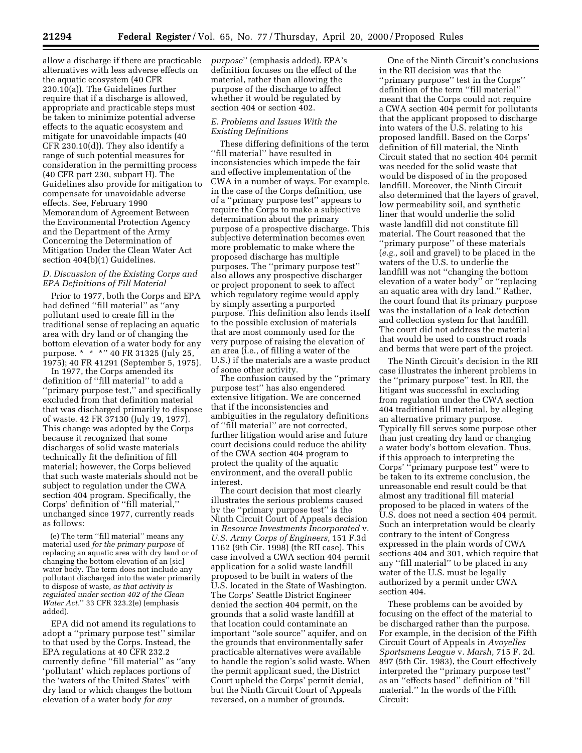allow a discharge if there are practicable alternatives with less adverse effects on the aquatic ecosystem (40 CFR 230.10(a)). The Guidelines further require that if a discharge is allowed, appropriate and practicable steps must be taken to minimize potential adverse effects to the aquatic ecosystem and mitigate for unavoidable impacts (40 CFR 230.10(d)). They also identify a range of such potential measures for consideration in the permitting process (40 CFR part 230, subpart H). The Guidelines also provide for mitigation to compensate for unavoidable adverse effects. See, February 1990 Memorandum of Agreement Between the Environmental Protection Agency and the Department of the Army Concerning the Determination of Mitigation Under the Clean Water Act section 404(b)(1) Guidelines.

# *D. Discussion of the Existing Corps and EPA Definitions of Fill Material*

Prior to 1977, both the Corps and EPA had defined ''fill material'' as ''any pollutant used to create fill in the traditional sense of replacing an aquatic area with dry land or of changing the bottom elevation of a water body for any purpose. \* \* \* \* '' 40 FR 31325 (July 25, 1975); 40 FR 41291 (September 5, 1975).

In 1977, the Corps amended its definition of ''fill material'' to add a ''primary purpose test,'' and specifically excluded from that definition material that was discharged primarily to dispose of waste. 42 FR 37130 (July 19, 1977). This change was adopted by the Corps because it recognized that some discharges of solid waste materials technically fit the definition of fill material; however, the Corps believed that such waste materials should not be subject to regulation under the CWA section 404 program. Specifically, the Corps' definition of ''fill material,'' unchanged since 1977, currently reads as follows:

(e) The term ''fill material'' means any material used *for the primary purpose* of replacing an aquatic area with dry land or of changing the bottom elevation of an [sic] water body. The term does not include any pollutant discharged into the water primarily to dispose of waste, *as that activity is regulated under section 402 of the Clean Water Act.*'' 33 CFR 323.2(e) (emphasis added).

EPA did not amend its regulations to adopt a ''primary purpose test'' similar to that used by the Corps. Instead, the EPA regulations at 40 CFR 232.2 currently define ''fill material'' as ''any 'pollutant' which replaces portions of the 'waters of the United States'' with dry land or which changes the bottom elevation of a water body *for any*

*purpose*'' (emphasis added). EPA's definition focuses on the effect of the material, rather than allowing the purpose of the discharge to affect whether it would be regulated by section 404 or section 402.

#### *E. Problems and Issues With the Existing Definitions*

These differing definitions of the term ''fill material'' have resulted in inconsistencies which impede the fair and effective implementation of the CWA in a number of ways. For example, in the case of the Corps definition, use of a ''primary purpose test'' appears to require the Corps to make a subjective determination about the primary purpose of a prospective discharge. This subjective determination becomes even more problematic to make where the proposed discharge has multiple purposes. The ''primary purpose test'' also allows any prospective discharger or project proponent to seek to affect which regulatory regime would apply by simply asserting a purported purpose. This definition also lends itself to the possible exclusion of materials that are most commonly used for the very purpose of raising the elevation of an area (i.e., of filling a water of the U.S.) if the materials are a waste product of some other activity.

The confusion caused by the ''primary purpose test'' has also engendered extensive litigation. We are concerned that if the inconsistencies and ambiguities in the regulatory definitions of ''fill material'' are not corrected, further litigation would arise and future court decisions could reduce the ability of the CWA section 404 program to protect the quality of the aquatic environment, and the overall public interest.

The court decision that most clearly illustrates the serious problems caused by the ''primary purpose test'' is the Ninth Circuit Court of Appeals decision in *Resource Investments Incorporated* v. *U.S. Army Corps of Engineers,* 151 F.3d 1162 (9th Cir. 1998) (the RII case). This case involved a CWA section 404 permit application for a solid waste landfill proposed to be built in waters of the U.S. located in the State of Washington. The Corps' Seattle District Engineer denied the section 404 permit, on the grounds that a solid waste landfill at that location could contaminate an important ''sole source'' aquifer, and on the grounds that environmentally safer practicable alternatives were available to handle the region's solid waste. When the permit applicant sued, the District Court upheld the Corps' permit denial, but the Ninth Circuit Court of Appeals reversed, on a number of grounds.

One of the Ninth Circuit's conclusions in the RII decision was that the ''primary purpose'' test in the Corps'' definition of the term ''fill material'' meant that the Corps could not require a CWA section 404 permit for pollutants that the applicant proposed to discharge into waters of the U.S. relating to his proposed landfill. Based on the Corps' definition of fill material, the Ninth Circuit stated that no section 404 permit was needed for the solid waste that would be disposed of in the proposed landfill. Moreover, the Ninth Circuit also determined that the layers of gravel, low permeability soil, and synthetic liner that would underlie the solid waste landfill did not constitute fill material. The Court reasoned that the ''primary purpose'' of these materials (*e.g.,* soil and gravel) to be placed in the waters of the U.S. to underlie the landfill was not ''changing the bottom elevation of a water body'' or ''replacing an aquatic area with dry land.'' Rather, the court found that its primary purpose was the installation of a leak detection and collection system for that landfill. The court did not address the material that would be used to construct roads and berms that were part of the project.

The Ninth Circuit's decision in the RII case illustrates the inherent problems in the ''primary purpose'' test. In RII, the litigant was successful in excluding from regulation under the CWA section 404 traditional fill material, by alleging an alternative primary purpose. Typically fill serves some purpose other than just creating dry land or changing a water body's bottom elevation. Thus, if this approach to interpreting the Corps' ''primary purpose test'' were to be taken to its extreme conclusion, the unreasonable end result could be that almost any traditional fill material proposed to be placed in waters of the U.S. does not need a section 404 permit. Such an interpretation would be clearly contrary to the intent of Congress expressed in the plain words of CWA sections 404 and 301, which require that any ''fill material'' to be placed in any water of the U.S. must be legally authorized by a permit under CWA section 404.

These problems can be avoided by focusing on the effect of the material to be discharged rather than the purpose. For example, in the decision of the Fifth Circuit Court of Appeals in *Avoyelles Sportsmens League* v. *Marsh,* 715 F. 2d. 897 (5th Cir. 1983), the Court effectively interpreted the ''primary purpose test'' as an ''effects based'' definition of ''fill material.'' In the words of the Fifth Circuit: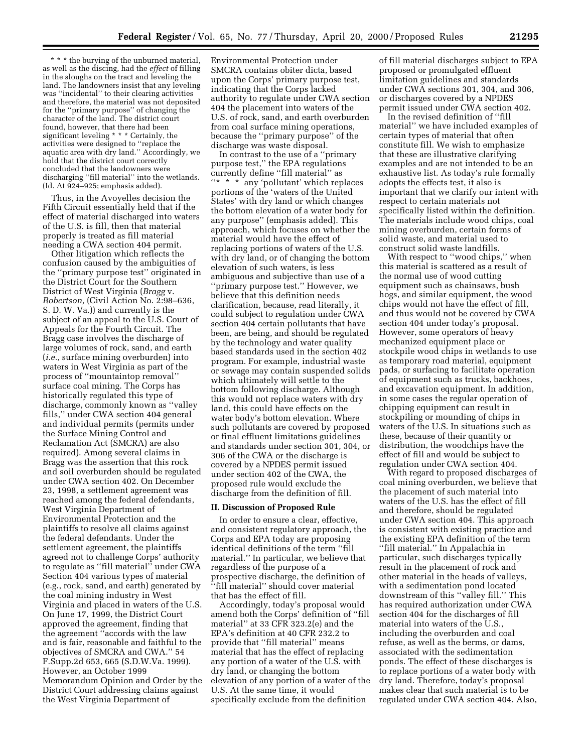\* \* \* the burying of the unburned material, as well as the discing, had the *effect* of filling in the sloughs on the tract and leveling the land. The landowners insist that any leveling was ''incidental'' to their clearing activities and therefore, the material was not deposited for the ''primary purpose'' of changing the character of the land. The district court found, however, that there had been significant leveling \* \* \* Certainly, the activities were designed to ''replace the aquatic area with dry land.'' Accordingly, we hold that the district court correctly concluded that the landowners were discharging ''fill material'' into the wetlands. (Id. At 924–925; emphasis added).

Thus, in the Avoyelles decision the Fifth Circuit essentially held that if the effect of material discharged into waters of the U.S. is fill, then that material properly is treated as fill material needing a CWA section 404 permit.

Other litigation which reflects the confusion caused by the ambiguities of the ''primary purpose test'' originated in the District Court for the Southern District of West Virginia (*Bragg* v. *Robertson,* (Civil Action No. 2:98–636, S. D. W. Va.)) and currently is the subject of an appeal to the U.S. Court of Appeals for the Fourth Circuit. The Bragg case involves the discharge of large volumes of rock, sand, and earth (*i.e.,* surface mining overburden) into waters in West Virginia as part of the process of ''mountaintop removal'' surface coal mining. The Corps has historically regulated this type of discharge, commonly known as ''valley fills,'' under CWA section 404 general and individual permits (permits under the Surface Mining Control and Reclamation Act (SMCRA) are also required). Among several claims in Bragg was the assertion that this rock and soil overburden should be regulated under CWA section 402. On December 23, 1998, a settlement agreement was reached among the federal defendants, West Virginia Department of Environmental Protection and the plaintiffs to resolve all claims against the federal defendants. Under the settlement agreement, the plaintiffs agreed not to challenge Corps' authority to regulate as ''fill material'' under CWA Section 404 various types of material (e.g., rock, sand, and earth) generated by the coal mining industry in West Virginia and placed in waters of the U.S. On June 17, 1999, the District Court approved the agreement, finding that the agreement ''accords with the law and is fair, reasonable and faithful to the objectives of SMCRA and CWA.'' 54 F.Supp.2d 653, 665 (S.D.W.Va. 1999). However, an October 1999 Memorandum Opinion and Order by the District Court addressing claims against the West Virginia Department of

Environmental Protection under SMCRA contains obiter dicta, based upon the Corps' primary purpose test, indicating that the Corps lacked authority to regulate under CWA section 404 the placement into waters of the U.S. of rock, sand, and earth overburden from coal surface mining operations, because the ''primary purpose'' of the discharge was waste disposal.

In contrast to the use of a ''primary purpose test,'' the EPA regulations currently define ''fill material'' as "\* \* \* any 'pollutant' which replaces portions of the 'waters of the United States' with dry land or which changes the bottom elevation of a water body for any purpose'' (emphasis added). This approach, which focuses on whether the material would have the effect of replacing portions of waters of the U.S. with dry land, or of changing the bottom elevation of such waters, is less ambiguous and subjective than use of a ''primary purpose test.'' However, we believe that this definition needs clarification, because, read literally, it could subject to regulation under CWA section 404 certain pollutants that have been, are being, and should be regulated by the technology and water quality based standards used in the section 402 program. For example, industrial waste or sewage may contain suspended solids which ultimately will settle to the bottom following discharge. Although this would not replace waters with dry land, this could have effects on the water body's bottom elevation. Where such pollutants are covered by proposed or final effluent limitations guidelines and standards under section 301, 304, or 306 of the CWA or the discharge is covered by a NPDES permit issued under section 402 of the CWA, the proposed rule would exclude the discharge from the definition of fill.

#### **II. Discussion of Proposed Rule**

In order to ensure a clear, effective, and consistent regulatory approach, the Corps and EPA today are proposing identical definitions of the term ''fill material.'' In particular, we believe that regardless of the purpose of a prospective discharge, the definition of ''fill material'' should cover material that has the effect of fill.

Accordingly, today's proposal would amend both the Corps' definition of ''fill material'' at 33 CFR 323.2(e) and the EPA's definition at 40 CFR 232.2 to provide that ''fill material'' means material that has the effect of replacing any portion of a water of the U.S. with dry land, or changing the bottom elevation of any portion of a water of the U.S. At the same time, it would specifically exclude from the definition

of fill material discharges subject to EPA proposed or promulgated effluent limitation guidelines and standards under CWA sections 301, 304, and 306, or discharges covered by a NPDES permit issued under CWA section 402.

In the revised definition of ''fill material'' we have included examples of certain types of material that often constitute fill. We wish to emphasize that these are illustrative clarifying examples and are not intended to be an exhaustive list. As today's rule formally adopts the effects test, it also is important that we clarify our intent with respect to certain materials not specifically listed within the definition. The materials include wood chips, coal mining overburden, certain forms of solid waste, and material used to construct solid waste landfills.

With respect to "wood chips," when this material is scattered as a result of the normal use of wood cutting equipment such as chainsaws, bush hogs, and similar equipment, the wood chips would not have the effect of fill, and thus would not be covered by CWA section 404 under today's proposal. However, some operators of heavy mechanized equipment place or stockpile wood chips in wetlands to use as temporary road material, equipment pads, or surfacing to facilitate operation of equipment such as trucks, backhoes, and excavation equipment. In addition, in some cases the regular operation of chipping equipment can result in stockpiling or mounding of chips in waters of the U.S. In situations such as these, because of their quantity or distribution, the woodchips have the effect of fill and would be subject to regulation under CWA section 404.

With regard to proposed discharges of coal mining overburden, we believe that the placement of such material into waters of the U.S. has the effect of fill and therefore, should be regulated under CWA section 404. This approach is consistent with existing practice and the existing EPA definition of the term ''fill material.'' In Appalachia in particular, such discharges typically result in the placement of rock and other material in the heads of valleys, with a sedimentation pond located downstream of this ''valley fill.'' This has required authorization under CWA section 404 for the discharges of fill material into waters of the U.S., including the overburden and coal refuse, as well as the berms, or dams, associated with the sedimentation ponds. The effect of these discharges is to replace portions of a water body with dry land. Therefore, today's proposal makes clear that such material is to be regulated under CWA section 404. Also,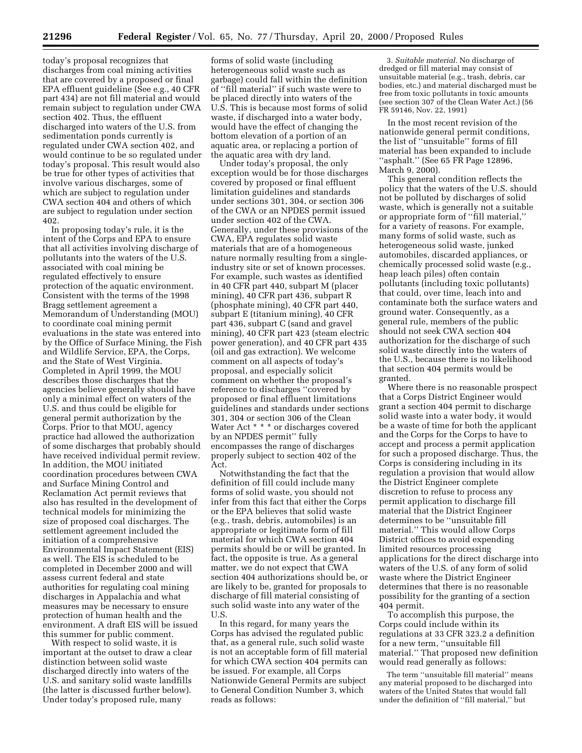today's proposal recognizes that discharges from coal mining activities that are covered by a proposed or final EPA effluent guideline (See e.g., 40 CFR part 434) are not fill material and would remain subject to regulation under CWA section 402. Thus, the effluent discharged into waters of the U.S. from sedimentation ponds currently is regulated under CWA section 402, and would continue to be so regulated under today's proposal. This result would also be true for other types of activities that involve various discharges, some of which are subject to regulation under CWA section 404 and others of which are subject to regulation under section 402.

In proposing today's rule, it is the intent of the Corps and EPA to ensure that all activities involving discharge of pollutants into the waters of the U.S. associated with coal mining be regulated effectively to ensure protection of the aquatic environment. Consistent with the terms of the 1998 Bragg settlement agreement a Memorandum of Understanding (MOU) to coordinate coal mining permit evaluations in the state was entered into by the Office of Surface Mining, the Fish and Wildlife Service, EPA, the Corps, and the State of West Virginia. Completed in April 1999, the MOU describes those discharges that the agencies believe generally should have only a minimal effect on waters of the U.S. and thus could be eligible for general permit authorization by the Corps. Prior to that MOU, agency practice had allowed the authorization of some discharges that probably should have received individual permit review. In addition, the MOU initiated coordination procedures between CWA and Surface Mining Control and Reclamation Act permit reviews that also has resulted in the development of technical models for minimizing the size of proposed coal discharges. The settlement agreement included the initiation of a comprehensive Environmental Impact Statement (EIS) as well. The EIS is scheduled to be completed in December 2000 and will assess current federal and state authorities for regulating coal mining discharges in Appalachia and what measures may be necessary to ensure protection of human health and the environment. A draft EIS will be issued this summer for public comment.

With respect to solid waste, it is important at the outset to draw a clear distinction between solid waste discharged directly into waters of the U.S. and sanitary solid waste landfills (the latter is discussed further below). Under today's proposed rule, many

forms of solid waste (including heterogeneous solid waste such as garbage) could fall within the definition of ''fill material'' if such waste were to be placed directly into waters of the U.S. This is because most forms of solid waste, if discharged into a water body, would have the effect of changing the bottom elevation of a portion of an aquatic area, or replacing a portion of the aquatic area with dry land.

Under today's proposal, the only exception would be for those discharges covered by proposed or final effluent limitation guidelines and standards under sections 301, 304, or section 306 of the CWA or an NPDES permit issued under section 402 of the CWA. Generally, under these provisions of the CWA, EPA regulates solid waste materials that are of a homogeneous nature normally resulting from a singleindustry site or set of known processes. For example, such wastes as identified in 40 CFR part 440, subpart M (placer mining), 40 CFR part 436, subpart R (phosphate mining), 40 CFR part 440, subpart E (titanium mining), 40 CFR part 436, subpart C (sand and gravel mining), 40 CFR part 423 (steam electric power generation), and 40 CFR part 435 (oil and gas extraction). We welcome comment on all aspects of today's proposal, and especially solicit comment on whether the proposal's reference to discharges ''covered by proposed or final effluent limitations guidelines and standards under sections 301, 304 or section 306 of the Clean Water Act \* \* \* or discharges covered by an NPDES permit'' fully encompasses the range of discharges properly subject to section 402 of the Act.

Notwithstanding the fact that the definition of fill could include many forms of solid waste, you should not infer from this fact that either the Corps or the EPA believes that solid waste (e.g., trash, debris, automobiles) is an appropriate or legitimate form of fill material for which CWA section 404 permits should be or will be granted. In fact, the opposite is true. As a general matter, we do not expect that CWA section 404 authorizations should be, or are likely to be, granted for proposals to discharge of fill material consisting of such solid waste into any water of the U.S.

In this regard, for many years the Corps has advised the regulated public that, as a general rule, such solid waste is not an acceptable form of fill material for which CWA section 404 permits can be issued. For example, all Corps Nationwide General Permits are subject to General Condition Number 3, which reads as follows:

3. *Suitable material.* No discharge of dredged or fill material may consist of unsuitable material (e.g., trash, debris, car bodies, etc.) and material discharged must be free from toxic pollutants in toxic amounts (see section 307 of the Clean Water Act.) (56 FR 59146, Nov. 22, 1991)

In the most recent revision of the nationwide general permit conditions, the list of ''unsuitable'' forms of fill material has been expanded to include ''asphalt.'' (See 65 FR Page 12896, March 9, 2000).

This general condition reflects the policy that the waters of the U.S. should not be polluted by discharges of solid waste, which is generally not a suitable or appropriate form of ''fill material,'' for a variety of reasons. For example, many forms of solid waste, such as heterogeneous solid waste, junked automobiles, discarded appliances, or chemically processed solid waste (e.g., heap leach piles) often contain pollutants (including toxic pollutants) that could, over time, leach into and contaminate both the surface waters and ground water. Consequently, as a general rule, members of the public should not seek CWA section 404 authorization for the discharge of such solid waste directly into the waters of the U.S., because there is no likelihood that section 404 permits would be granted.

Where there is no reasonable prospect that a Corps District Engineer would grant a section 404 permit to discharge solid waste into a water body, it would be a waste of time for both the applicant and the Corps for the Corps to have to accept and process a permit application for such a proposed discharge. Thus, the Corps is considering including in its regulation a provision that would allow the District Engineer complete discretion to refuse to process any permit application to discharge fill material that the District Engineer determines to be ''unsuitable fill material.'' This would allow Corps District offices to avoid expending limited resources processing applications for the direct discharge into waters of the U.S. of any form of solid waste where the District Engineer determines that there is no reasonable possibility for the granting of a section 404 permit.

To accomplish this purpose, the Corps could include within its regulations at 33 CFR 323.2 a definition for a new term, ''unsuitable fill material.'' That proposed new definition would read generally as follows:

The term ''unsuitable fill material'' means any material proposed to be discharged into waters of the United States that would fall under the definition of ''fill material,'' but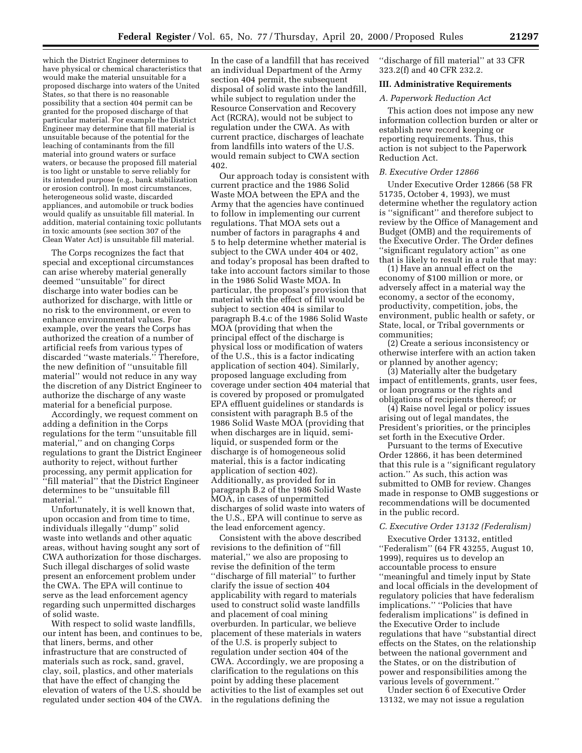which the District Engineer determines to have physical or chemical characteristics that would make the material unsuitable for a proposed discharge into waters of the United States, so that there is no reasonable possibility that a section 404 permit can be granted for the proposed discharge of that particular material. For example the District Engineer may determine that fill material is unsuitable because of the potential for the leaching of contaminants from the fill material into ground waters or surface waters, or because the proposed fill material is too light or unstable to serve reliably for its intended purpose (e.g., bank stabilization or erosion control). In most circumstances, heterogeneous solid waste, discarded appliances, and automobile or truck bodies would qualify as unsuitable fill material. In addition, material containing toxic pollutants in toxic amounts (see section 307 of the Clean Water Act) is unsuitable fill material.

The Corps recognizes the fact that special and exceptional circumstances can arise whereby material generally deemed ''unsuitable'' for direct discharge into water bodies can be authorized for discharge, with little or no risk to the environment, or even to enhance environmental values. For example, over the years the Corps has authorized the creation of a number of artificial reefs from various types of discarded ''waste materials.'' Therefore, the new definition of ''unsuitable fill material'' would not reduce in any way the discretion of any District Engineer to authorize the discharge of any waste material for a beneficial purpose.

Accordingly, we request comment on adding a definition in the Corps regulations for the term ''unsuitable fill material,'' and on changing Corps regulations to grant the District Engineer authority to reject, without further processing, any permit application for ''fill material'' that the District Engineer determines to be ''unsuitable fill material.''

Unfortunately, it is well known that, upon occasion and from time to time, individuals illegally ''dump'' solid waste into wetlands and other aquatic areas, without having sought any sort of CWA authorization for those discharges. Such illegal discharges of solid waste present an enforcement problem under the CWA. The EPA will continue to serve as the lead enforcement agency regarding such unpermitted discharges of solid waste.

With respect to solid waste landfills, our intent has been, and continues to be, that liners, berms, and other infrastructure that are constructed of materials such as rock, sand, gravel, clay, soil, plastics, and other materials that have the effect of changing the elevation of waters of the U.S. should be regulated under section 404 of the CWA.

In the case of a landfill that has received an individual Department of the Army section 404 permit, the subsequent disposal of solid waste into the landfill, while subject to regulation under the Resource Conservation and Recovery Act (RCRA), would not be subject to regulation under the CWA. As with current practice, discharges of leachate from landfills into waters of the U.S. would remain subject to CWA section 402.

Our approach today is consistent with current practice and the 1986 Solid Waste MOA between the EPA and the Army that the agencies have continued to follow in implementing our current regulations. That MOA sets out a number of factors in paragraphs 4 and 5 to help determine whether material is subject to the CWA under 404 or 402, and today's proposal has been drafted to take into account factors similar to those in the 1986 Solid Waste MOA. In particular, the proposal's provision that material with the effect of fill would be subject to section 404 is similar to paragraph B.4.c of the 1986 Solid Waste MOA (providing that when the principal effect of the discharge is physical loss or modification of waters of the U.S., this is a factor indicating application of section 404). Similarly, proposed language excluding from coverage under section 404 material that is covered by proposed or promulgated EPA effluent guidelines or standards is consistent with paragraph B.5 of the 1986 Solid Waste MOA (providing that when discharges are in liquid, semiliquid, or suspended form or the discharge is of homogeneous solid material, this is a factor indicating application of section 402). Additionally, as provided for in paragraph B.2 of the 1986 Solid Waste MOA, in cases of unpermitted discharges of solid waste into waters of the U.S., EPA will continue to serve as the lead enforcement agency.

Consistent with the above described revisions to the definition of ''fill material,'' we also are proposing to revise the definition of the term ''discharge of fill material'' to further clarify the issue of section 404 applicability with regard to materials used to construct solid waste landfills and placement of coal mining overburden. In particular, we believe placement of these materials in waters of the U.S. is properly subject to regulation under section 404 of the CWA. Accordingly, we are proposing a clarification to the regulations on this point by adding these placement activities to the list of examples set out in the regulations defining the

''discharge of fill material'' at 33 CFR 323.2(f) and 40 CFR 232.2.

#### **III. Administrative Requirements**

#### *A. Paperwork Reduction Act*

This action does not impose any new information collection burden or alter or establish new record keeping or reporting requirements. Thus, this action is not subject to the Paperwork Reduction Act.

#### *B. Executive Order 12866*

Under Executive Order 12866 (58 FR 51735, October 4, 1993), we must determine whether the regulatory action is ''significant'' and therefore subject to review by the Office of Management and Budget (OMB) and the requirements of the Executive Order. The Order defines ''significant regulatory action'' as one that is likely to result in a rule that may:

(1) Have an annual effect on the economy of \$100 million or more, or adversely affect in a material way the economy, a sector of the economy, productivity, competition, jobs, the environment, public health or safety, or State, local, or Tribal governments or communities;

(2) Create a serious inconsistency or otherwise interfere with an action taken or planned by another agency;

(3) Materially alter the budgetary impact of entitlements, grants, user fees, or loan programs or the rights and obligations of recipients thereof; or

(4) Raise novel legal or policy issues arising out of legal mandates, the President's priorities, or the principles set forth in the Executive Order.

Pursuant to the terms of Executive Order 12866, it has been determined that this rule is a ''significant regulatory action.'' As such, this action was submitted to OMB for review. Changes made in response to OMB suggestions or recommendations will be documented in the public record.

#### *C. Executive Order 13132 (Federalism)*

Executive Order 13132, entitled ''Federalism'' (64 FR 43255, August 10, 1999), requires us to develop an accountable process to ensure ''meaningful and timely input by State and local officials in the development of regulatory policies that have federalism implications.'' ''Policies that have federalism implications'' is defined in the Executive Order to include regulations that have ''substantial direct effects on the States, on the relationship between the national government and the States, or on the distribution of power and responsibilities among the various levels of government.''

Under section 6 of Executive Order 13132, we may not issue a regulation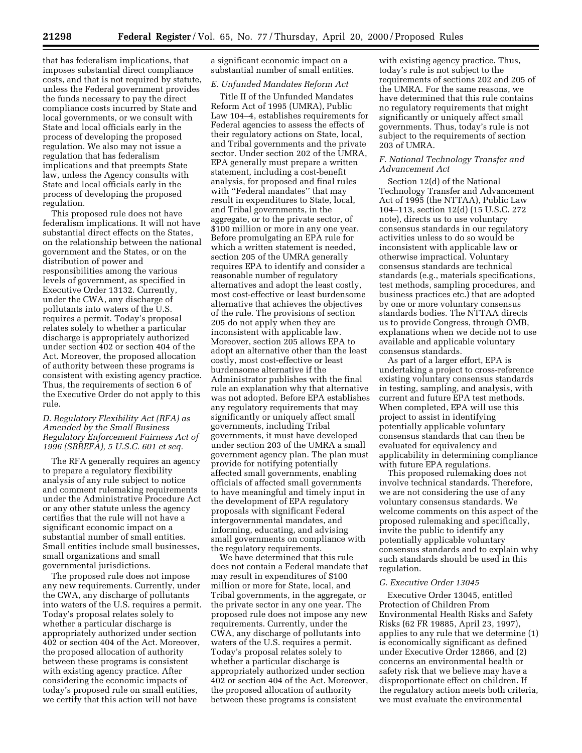that has federalism implications, that imposes substantial direct compliance costs, and that is not required by statute, unless the Federal government provides the funds necessary to pay the direct compliance costs incurred by State and local governments, or we consult with State and local officials early in the process of developing the proposed regulation. We also may not issue a regulation that has federalism implications and that preempts State law, unless the Agency consults with State and local officials early in the process of developing the proposed regulation.

This proposed rule does not have federalism implications. It will not have substantial direct effects on the States, on the relationship between the national government and the States, or on the distribution of power and responsibilities among the various levels of government, as specified in Executive Order 13132. Currently, under the CWA, any discharge of pollutants into waters of the U.S. requires a permit. Today's proposal relates solely to whether a particular discharge is appropriately authorized under section 402 or section 404 of the Act. Moreover, the proposed allocation of authority between these programs is consistent with existing agency practice. Thus, the requirements of section 6 of the Executive Order do not apply to this rule.

# *D. Regulatory Flexibility Act (RFA) as Amended by the Small Business Regulatory Enforcement Fairness Act of 1996 (SBREFA), 5 U.S.C. 601 et seq.*

The RFA generally requires an agency to prepare a regulatory flexibility analysis of any rule subject to notice and comment rulemaking requirements under the Administrative Procedure Act or any other statute unless the agency certifies that the rule will not have a significant economic impact on a substantial number of small entities. Small entities include small businesses, small organizations and small governmental jurisdictions.

The proposed rule does not impose any new requirements. Currently, under the CWA, any discharge of pollutants into waters of the U.S. requires a permit. Today's proposal relates solely to whether a particular discharge is appropriately authorized under section 402 or section 404 of the Act. Moreover, the proposed allocation of authority between these programs is consistent with existing agency practice. After considering the economic impacts of today's proposed rule on small entities, we certify that this action will not have

a significant economic impact on a substantial number of small entities.

# *E. Unfunded Mandates Reform Act*

Title II of the Unfunded Mandates Reform Act of 1995 (UMRA), Public Law 104–4, establishes requirements for Federal agencies to assess the effects of their regulatory actions on State, local, and Tribal governments and the private sector. Under section 202 of the UMRA, EPA generally must prepare a written statement, including a cost-benefit analysis, for proposed and final rules with ''Federal mandates'' that may result in expenditures to State, local, and Tribal governments, in the aggregate, or to the private sector, of \$100 million or more in any one year. Before promulgating an EPA rule for which a written statement is needed, section 205 of the UMRA generally requires EPA to identify and consider a reasonable number of regulatory alternatives and adopt the least costly, most cost-effective or least burdensome alternative that achieves the objectives of the rule. The provisions of section 205 do not apply when they are inconsistent with applicable law. Moreover, section 205 allows EPA to adopt an alternative other than the least costly, most cost-effective or least burdensome alternative if the Administrator publishes with the final rule an explanation why that alternative was not adopted. Before EPA establishes any regulatory requirements that may significantly or uniquely affect small governments, including Tribal governments, it must have developed under section 203 of the UMRA a small government agency plan. The plan must provide for notifying potentially affected small governments, enabling officials of affected small governments to have meaningful and timely input in the development of EPA regulatory proposals with significant Federal intergovernmental mandates, and informing, educating, and advising small governments on compliance with the regulatory requirements.

We have determined that this rule does not contain a Federal mandate that may result in expenditures of \$100 million or more for State, local, and Tribal governments, in the aggregate, or the private sector in any one year. The proposed rule does not impose any new requirements. Currently, under the CWA, any discharge of pollutants into waters of the U.S. requires a permit. Today's proposal relates solely to whether a particular discharge is appropriately authorized under section 402 or section 404 of the Act. Moreover, the proposed allocation of authority between these programs is consistent

with existing agency practice. Thus, today's rule is not subject to the requirements of sections 202 and 205 of the UMRA. For the same reasons, we have determined that this rule contains no regulatory requirements that might significantly or uniquely affect small governments. Thus, today's rule is not subject to the requirements of section 203 of UMRA.

#### *F. National Technology Transfer and Advancement Act*

Section 12(d) of the National Technology Transfer and Advancement Act of 1995 (the NTTAA), Public Law 104–113, section 12(d) (15 U.S.C. 272 note), directs us to use voluntary consensus standards in our regulatory activities unless to do so would be inconsistent with applicable law or otherwise impractical. Voluntary consensus standards are technical standards (e.g., materials specifications, test methods, sampling procedures, and business practices etc.) that are adopted by one or more voluntary consensus standards bodies. The NTTAA directs us to provide Congress, through OMB, explanations when we decide not to use available and applicable voluntary consensus standards.

As part of a larger effort, EPA is undertaking a project to cross-reference existing voluntary consensus standards in testing, sampling, and analysis, with current and future EPA test methods. When completed, EPA will use this project to assist in identifying potentially applicable voluntary consensus standards that can then be evaluated for equivalency and applicability in determining compliance with future EPA regulations.

This proposed rulemaking does not involve technical standards. Therefore, we are not considering the use of any voluntary consensus standards. We welcome comments on this aspect of the proposed rulemaking and specifically, invite the public to identify any potentially applicable voluntary consensus standards and to explain why such standards should be used in this regulation.

#### *G. Executive Order 13045*

Executive Order 13045, entitled Protection of Children From Environmental Health Risks and Safety Risks (62 FR 19885, April 23, 1997), applies to any rule that we determine (1) is economically significant as defined under Executive Order 12866, and (2) concerns an environmental health or safety risk that we believe may have a disproportionate effect on children. If the regulatory action meets both criteria, we must evaluate the environmental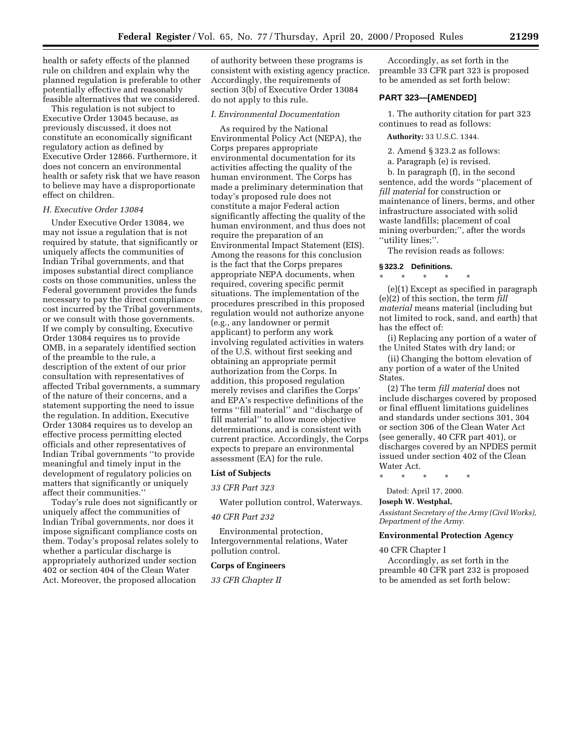health or safety effects of the planned rule on children and explain why the planned regulation is preferable to other potentially effective and reasonably feasible alternatives that we considered.

This regulation is not subject to Executive Order 13045 because, as previously discussed, it does not constitute an economically significant regulatory action as defined by Executive Order 12866. Furthermore, it does not concern an environmental health or safety risk that we have reason to believe may have a disproportionate effect on children.

# *H. Executive Order 13084*

Under Executive Order 13084, we may not issue a regulation that is not required by statute, that significantly or uniquely affects the communities of Indian Tribal governments, and that imposes substantial direct compliance costs on those communities, unless the Federal government provides the funds necessary to pay the direct compliance cost incurred by the Tribal governments, or we consult with those governments. If we comply by consulting, Executive Order 13084 requires us to provide OMB, in a separately identified section of the preamble to the rule, a description of the extent of our prior consultation with representatives of affected Tribal governments, a summary of the nature of their concerns, and a statement supporting the need to issue the regulation. In addition, Executive Order 13084 requires us to develop an effective process permitting elected officials and other representatives of Indian Tribal governments ''to provide meaningful and timely input in the development of regulatory policies on matters that significantly or uniquely affect their communities.''

Today's rule does not significantly or uniquely affect the communities of Indian Tribal governments, nor does it impose significant compliance costs on them. Today's proposal relates solely to whether a particular discharge is appropriately authorized under section 402 or section 404 of the Clean Water Act. Moreover, the proposed allocation

of authority between these programs is consistent with existing agency practice. Accordingly, the requirements of section 3(b) of Executive Order 13084 do not apply to this rule.

#### *I. Environmental Documentation*

As required by the National Environmental Policy Act (NEPA), the Corps prepares appropriate environmental documentation for its activities affecting the quality of the human environment. The Corps has made a preliminary determination that today's proposed rule does not constitute a major Federal action significantly affecting the quality of the human environment, and thus does not require the preparation of an Environmental Impact Statement (EIS). Among the reasons for this conclusion is the fact that the Corps prepares appropriate NEPA documents, when required, covering specific permit situations. The implementation of the procedures prescribed in this proposed regulation would not authorize anyone (e.g., any landowner or permit applicant) to perform any work involving regulated activities in waters of the U.S. without first seeking and obtaining an appropriate permit authorization from the Corps. In addition, this proposed regulation merely revises and clarifies the Corps' and EPA's respective definitions of the terms ''fill material'' and ''discharge of fill material'' to allow more objective determinations, and is consistent with current practice. Accordingly, the Corps expects to prepare an environmental assessment (EA) for the rule.

#### **List of Subjects**

*33 CFR Part 323*

Water pollution control, Waterways.

# *40 CFR Part 232*

Environmental protection, Intergovernmental relations, Water pollution control.

#### **Corps of Engineers**

*33 CFR Chapter II*

Accordingly, as set forth in the preamble 33 CFR part 323 is proposed to be amended as set forth below:

#### **PART 323—[AMENDED]**

1. The authority citation for part 323 continues to read as follows:

#### **Authority:** 33 U.S.C. 1344.

2. Amend § 323.2 as follows:

a. Paragraph (e) is revised.

b. In paragraph (f), in the second sentence, add the words ''placement of *fill material* for construction or maintenance of liners, berms, and other infrastructure associated with solid waste landfills; placement of coal mining overburden;'', after the words ''utility lines;''.

The revision reads as follows:

# **§ 323.2 Definitions.**

\* \* \* \* \* (e)(1) Except as specified in paragraph (e)(2) of this section, the term *fill material* means material (including but not limited to rock, sand, and earth) that has the effect of:

(i) Replacing any portion of a water of the United States with dry land; or

(ii) Changing the bottom elevation of any portion of a water of the United States.

(2) The term *fill material* does not include discharges covered by proposed or final effluent limitations guidelines and standards under sections 301, 304 or section 306 of the Clean Water Act (see generally, 40 CFR part 401), or discharges covered by an NPDES permit issued under section 402 of the Clean Water Act.

\* \* \* \* \*

Dated: April 17, 2000.

# **Joseph W. Westphal,**

*Assistant Secretary of the Army (Civil Works), Department of the Army.*

#### **Environmental Protection Agency**

#### 40 CFR Chapter I

Accordingly, as set forth in the preamble 40 CFR part 232 is proposed to be amended as set forth below: